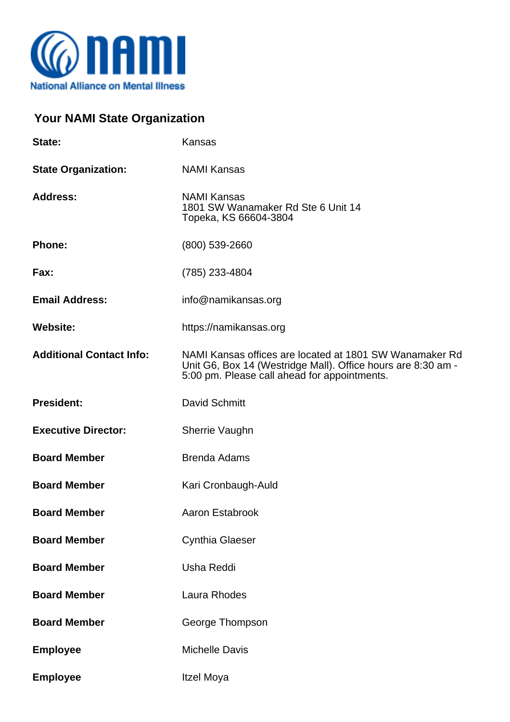

## **Your NAMI State Organization**

| State:                          | Kansas                                                                                                                                                                  |
|---------------------------------|-------------------------------------------------------------------------------------------------------------------------------------------------------------------------|
| <b>State Organization:</b>      | <b>NAMI Kansas</b>                                                                                                                                                      |
| <b>Address:</b>                 | <b>NAMI Kansas</b><br>1801 SW Wanamaker Rd Ste 6 Unit 14<br>Topeka, KS 66604-3804                                                                                       |
| <b>Phone:</b>                   | (800) 539-2660                                                                                                                                                          |
| Fax:                            | (785) 233-4804                                                                                                                                                          |
| <b>Email Address:</b>           | info@namikansas.org                                                                                                                                                     |
| <b>Website:</b>                 | https://namikansas.org                                                                                                                                                  |
| <b>Additional Contact Info:</b> | NAMI Kansas offices are located at 1801 SW Wanamaker Rd<br>Unit G6, Box 14 (Westridge Mall). Office hours are 8:30 am -<br>5:00 pm. Please call ahead for appointments. |
| <b>President:</b>               | <b>David Schmitt</b>                                                                                                                                                    |
| <b>Executive Director:</b>      | Sherrie Vaughn                                                                                                                                                          |
| <b>Board Member</b>             | <b>Brenda Adams</b>                                                                                                                                                     |
| <b>Board Member</b>             | Kari Cronbaugh-Auld                                                                                                                                                     |
| <b>Board Member</b>             | <b>Aaron Estabrook</b>                                                                                                                                                  |
| <b>Board Member</b>             | <b>Cynthia Glaeser</b>                                                                                                                                                  |
| <b>Board Member</b>             | Usha Reddi                                                                                                                                                              |
| <b>Board Member</b>             | Laura Rhodes                                                                                                                                                            |
| <b>Board Member</b>             | George Thompson                                                                                                                                                         |
| <b>Employee</b>                 | <b>Michelle Davis</b>                                                                                                                                                   |
| <b>Employee</b>                 | Itzel Moya                                                                                                                                                              |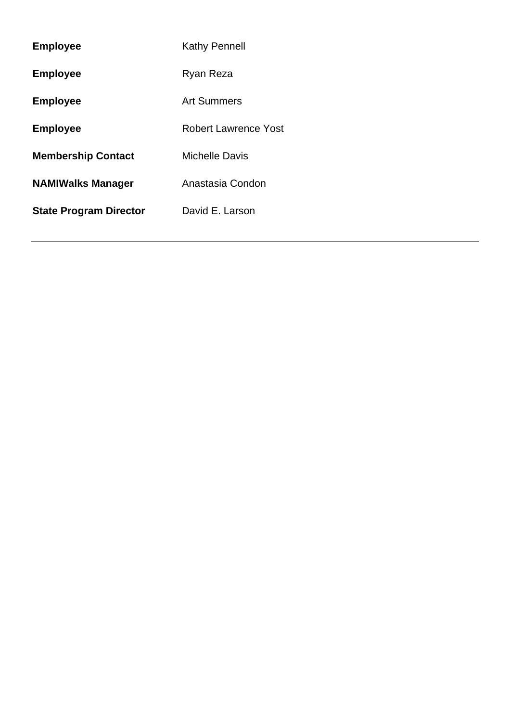| <b>Employee</b>               | <b>Kathy Pennell</b>        |
|-------------------------------|-----------------------------|
| <b>Employee</b>               | Ryan Reza                   |
| <b>Employee</b>               | <b>Art Summers</b>          |
| <b>Employee</b>               | <b>Robert Lawrence Yost</b> |
| <b>Membership Contact</b>     | <b>Michelle Davis</b>       |
| <b>NAMIWalks Manager</b>      | Anastasia Condon            |
| <b>State Program Director</b> | David E. Larson             |
|                               |                             |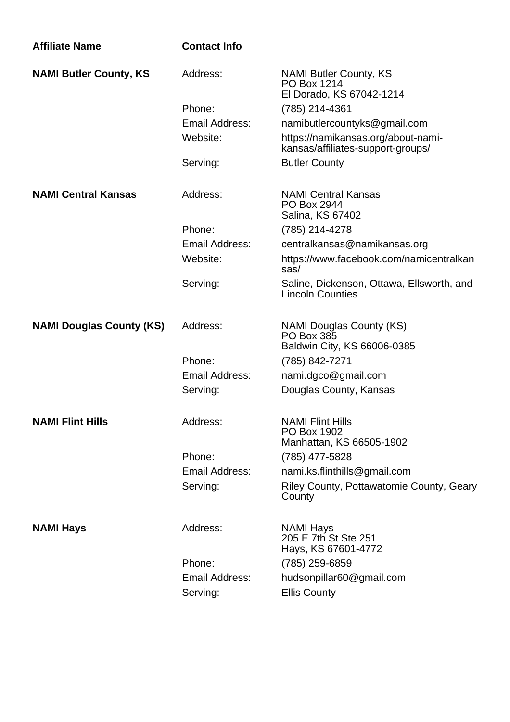| <b>Affiliate Name</b>           | <b>Contact Info</b>   |                                                                              |
|---------------------------------|-----------------------|------------------------------------------------------------------------------|
| <b>NAMI Butler County, KS</b>   | Address:              | <b>NAMI Butler County, KS</b><br>PO Box 1214<br>El Dorado, KS 67042-1214     |
|                                 | Phone:                | (785) 214-4361                                                               |
|                                 | Email Address:        | namibutlercountyks@gmail.com                                                 |
|                                 | Website:              | https://namikansas.org/about-nami-<br>kansas/affiliates-support-groups/      |
|                                 | Serving:              | <b>Butler County</b>                                                         |
| <b>NAMI Central Kansas</b>      | Address:              | <b>NAMI Central Kansas</b><br>PO Box 2944<br>Salina, KS 67402                |
|                                 | Phone:                | (785) 214-4278                                                               |
|                                 | Email Address:        | centralkansas@namikansas.org                                                 |
|                                 | Website:              | https://www.facebook.com/namicentralkan<br>sas/                              |
|                                 | Serving:              | Saline, Dickenson, Ottawa, Ellsworth, and<br><b>Lincoln Counties</b>         |
| <b>NAMI Douglas County (KS)</b> | Address:              | <b>NAMI Douglas County (KS)</b><br>PO Box 385<br>Baldwin City, KS 66006-0385 |
|                                 | Phone:                | (785) 842-7271                                                               |
|                                 | Email Address:        | nami.dgco@gmail.com                                                          |
|                                 | Serving:              | Douglas County, Kansas                                                       |
| <b>NAMI Flint Hills</b>         | Address:              | <b>NAMI Flint Hills</b><br>PO Box 1902<br>Manhattan, KS 66505-1902           |
|                                 | Phone:                | (785) 477-5828                                                               |
|                                 | <b>Email Address:</b> | nami.ks.flinthills@gmail.com                                                 |
|                                 | Serving:              | Riley County, Pottawatomie County, Geary<br>County                           |
| <b>NAMI Hays</b>                | Address:              | <b>NAMI Hays</b><br>205 E 7th St Ste 251<br>Hays, KS 67601-4772              |
|                                 | Phone:                | (785) 259-6859                                                               |
|                                 | Email Address:        | hudsonpillar60@gmail.com                                                     |
|                                 | Serving:              | <b>Ellis County</b>                                                          |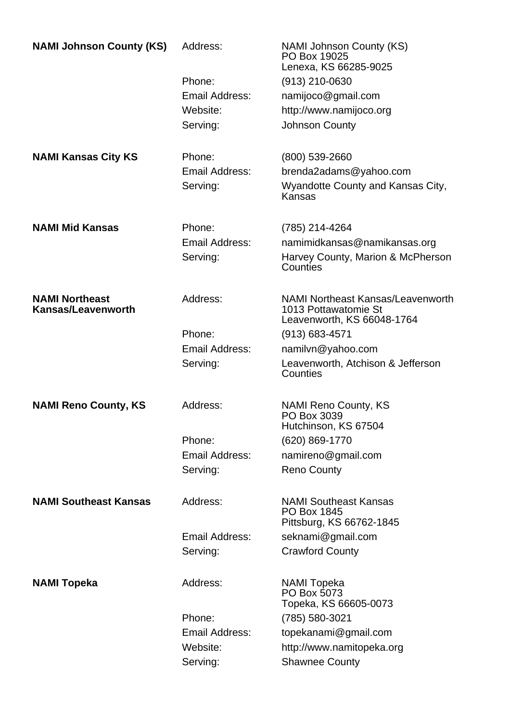| <b>NAMI Johnson County (KS)</b>             | Address:              | <b>NAMI Johnson County (KS)</b><br>PO Box 19025<br>Lenexa, KS 66285-9025                       |
|---------------------------------------------|-----------------------|------------------------------------------------------------------------------------------------|
|                                             | Phone:                | $(913)$ 210-0630                                                                               |
|                                             | Email Address:        | namijoco@gmail.com                                                                             |
|                                             | Website:              | http://www.namijoco.org                                                                        |
|                                             | Serving:              | <b>Johnson County</b>                                                                          |
| <b>NAMI Kansas City KS</b>                  | Phone:                | (800) 539-2660                                                                                 |
|                                             | Email Address:        | brenda2adams@yahoo.com                                                                         |
|                                             | Serving:              | Wyandotte County and Kansas City,<br>Kansas                                                    |
| <b>NAMI Mid Kansas</b>                      | Phone:                | (785) 214-4264                                                                                 |
|                                             | Email Address:        | namimidkansas@namikansas.org                                                                   |
|                                             | Serving:              | Harvey County, Marion & McPherson<br>Counties                                                  |
| <b>NAMI Northeast</b><br>Kansas/Leavenworth | Address:              | <b>NAMI Northeast Kansas/Leavenworth</b><br>1013 Pottawatomie St<br>Leavenworth, KS 66048-1764 |
|                                             | Phone:                | $(913) 683 - 4571$                                                                             |
|                                             | Email Address:        | namilvn@yahoo.com                                                                              |
|                                             | Serving:              | Leavenworth, Atchison & Jefferson<br>Counties                                                  |
| <b>NAMI Reno County, KS</b>                 | Address:              | <b>NAMI Reno County, KS</b><br>PO Box 3039<br>Hutchinson, KS 67504                             |
|                                             | Phone:                | (620) 869-1770                                                                                 |
|                                             | <b>Email Address:</b> | namireno@gmail.com                                                                             |
|                                             | Serving:              | <b>Reno County</b>                                                                             |
| <b>NAMI Southeast Kansas</b>                | Address:              | <b>NAMI Southeast Kansas</b><br>PO Box 1845<br>Pittsburg, KS 66762-1845                        |
|                                             | Email Address:        | seknami@gmail.com                                                                              |
|                                             | Serving:              | <b>Crawford County</b>                                                                         |
| <b>NAMI Topeka</b>                          | Address:              | <b>NAMI</b> Topeka<br>PO Box 5073<br>Topeka, KS 66605-0073                                     |
|                                             | Phone:                | (785) 580-3021                                                                                 |
|                                             | Email Address:        | topekanami@gmail.com                                                                           |
|                                             | Website:              | http://www.namitopeka.org                                                                      |
|                                             | Serving:              | <b>Shawnee County</b>                                                                          |
|                                             |                       |                                                                                                |